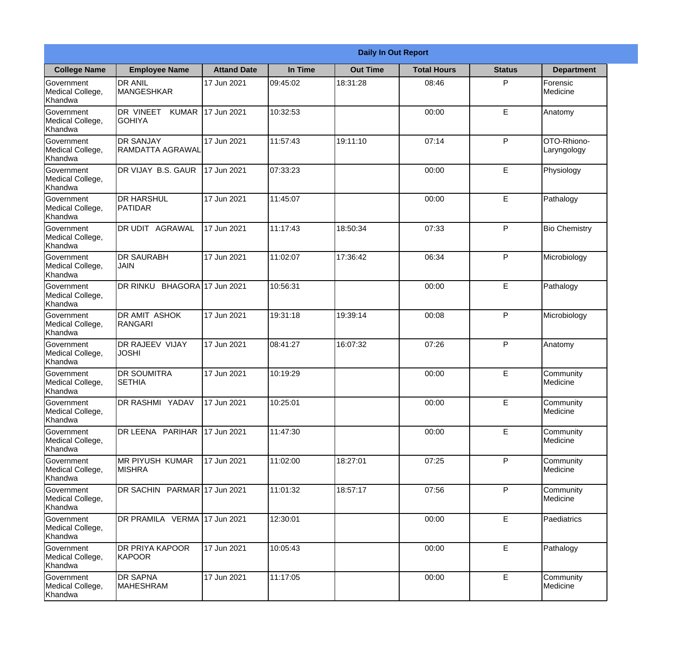|                                           | <b>Daily In Out Report</b>                  |                     |          |                 |                    |               |                            |  |
|-------------------------------------------|---------------------------------------------|---------------------|----------|-----------------|--------------------|---------------|----------------------------|--|
| <b>College Name</b>                       | <b>Employee Name</b>                        | <b>Attand Date</b>  | In Time  | <b>Out Time</b> | <b>Total Hours</b> | <b>Status</b> | <b>Department</b>          |  |
| Government<br>Medical College,<br>Khandwa | <b>DR ANIL</b><br><b>MANGESHKAR</b>         | 17 Jun 2021         | 09:45:02 | 18:31:28        | 08:46              | P             | Forensic<br>Medicine       |  |
| Government<br>Medical College,<br>Khandwa | DR VINEET<br><b>KUMAR</b><br><b>GOHIYA</b>  | 17 Jun 2021         | 10:32:53 |                 | 00:00              | E             | Anatomy                    |  |
| Government<br>Medical College,<br>Khandwa | <b>DR SANJAY</b><br><b>RAMDATTA AGRAWAL</b> | 17 Jun 2021         | 11:57:43 | 19:11:10        | 07:14              | P             | OTO-Rhiono-<br>Laryngology |  |
| Government<br>Medical College,<br>Khandwa | DR VIJAY B.S. GAUR                          | 17 Jun 2021         | 07:33:23 |                 | 00:00              | E             | Physiology                 |  |
| Government<br>Medical College,<br>Khandwa | <b>DR HARSHUL</b><br>PATIDAR                | 17 Jun 2021         | 11:45:07 |                 | 00:00              | E             | Pathalogy                  |  |
| Government<br>Medical College,<br>Khandwa | DR UDIT AGRAWAL                             | 17 Jun 2021         | 11:17:43 | 18:50:34        | 07:33              | P             | <b>Bio Chemistry</b>       |  |
| Government<br>Medical College,<br>Khandwa | <b>DR SAURABH</b><br>JAIN                   | 17 Jun 2021         | 11:02:07 | 17:36:42        | 06:34              | P             | Microbiology               |  |
| Government<br>Medical College,<br>Khandwa | DR RINKU                                    | BHAGORA 17 Jun 2021 | 10:56:31 |                 | 00:00              | E             | Pathalogy                  |  |
| Government<br>Medical College,<br>Khandwa | <b>DR AMIT ASHOK</b><br>RANGARI             | 17 Jun 2021         | 19:31:18 | 19:39:14        | 00:08              | P             | Microbiology               |  |
| Government<br>Medical College,<br>Khandwa | DR RAJEEV VIJAY<br><b>JOSHI</b>             | 17 Jun 2021         | 08:41:27 | 16:07:32        | 07:26              | P             | Anatomy                    |  |
| Government<br>Medical College,<br>Khandwa | <b>DR SOUMITRA</b><br><b>SETHIA</b>         | 17 Jun 2021         | 10:19:29 |                 | 00:00              | E             | Community<br>Medicine      |  |
| Government<br>Medical College,<br>Khandwa | DR RASHMI YADAV                             | 17 Jun 2021         | 10:25:01 |                 | 00:00              | E             | Community<br>Medicine      |  |
| Government<br>Medical College,<br>Khandwa | DR LEENA PARIHAR                            | 17 Jun 2021         | 11:47:30 |                 | 00:00              | E             | Community<br>Medicine      |  |
| Government<br>Medical College,<br>Khandwa | <b>MR PIYUSH KUMAR</b><br><b>MISHRA</b>     | 17 Jun 2021         | 11:02:00 | 18:27:01        | 07:25              | $\mathsf{P}$  | Community<br>Medicine      |  |
| Government<br>Medical College,<br>Khandwa | DR SACHIN PARMAR 17 Jun 2021                |                     | 11:01:32 | 18:57:17        | 07:56              | $\mathsf{P}$  | Community<br>Medicine      |  |
| Government<br>Medical College,<br>Khandwa | DR PRAMILA VERMA 17 Jun 2021                |                     | 12:30:01 |                 | 00:00              | E             | Paediatrics                |  |
| Government<br>Medical College,<br>Khandwa | <b>DR PRIYA KAPOOR</b><br>KAPOOR            | 17 Jun 2021         | 10:05:43 |                 | 00:00              | E             | Pathalogy                  |  |
| Government<br>Medical College,<br>Khandwa | DR SAPNA<br>MAHESHRAM                       | 17 Jun 2021         | 11:17:05 |                 | 00:00              | E             | Community<br>Medicine      |  |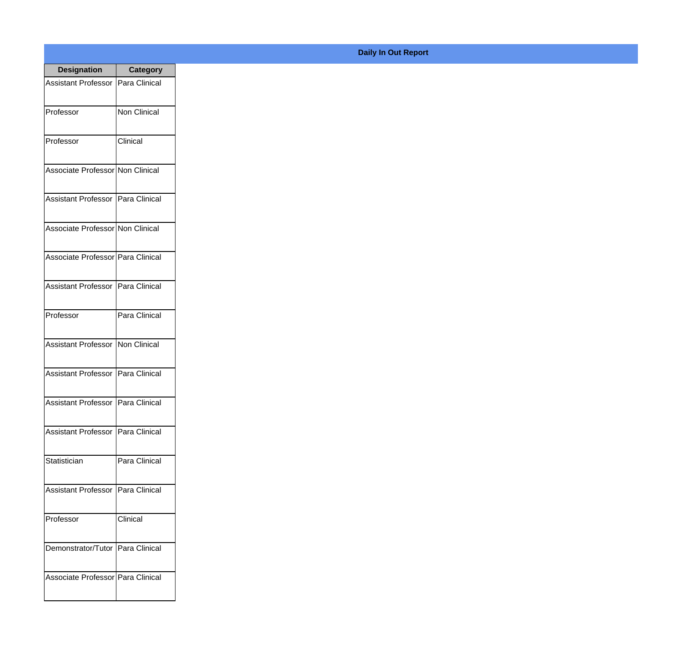| <b>Designation</b>                  | <b>Category</b>      |
|-------------------------------------|----------------------|
| <b>Assistant Professor</b>          | Para Clinical        |
| Professor                           | <b>Non Clinical</b>  |
| Professor                           | Clinical             |
| Associate Professor Non Clinical    |                      |
| Assistant Professor   Para Clinical |                      |
| Associate Professor Non Clinical    |                      |
| Associate Professor   Para Clinical |                      |
| Assistant Professor   Para Clinical |                      |
| Professor                           | Para Clinical        |
| <b>Assistant Professor</b>          | Non Clinical         |
| <b>Assistant Professor</b>          | Para Clinical        |
| Assistant Professor                 | Para Clinical        |
| <b>Assistant Professor</b>          | Para Clinical        |
| Statistician                        | Para Clinical        |
| <b>Assistant Professor</b>          | Para Clinical        |
| Professor                           | Clinical             |
| Demonstrator/Tutor                  | <b>Para Clinical</b> |
| Associate Professor   Para Clinical |                      |

## **Daily In Out Report**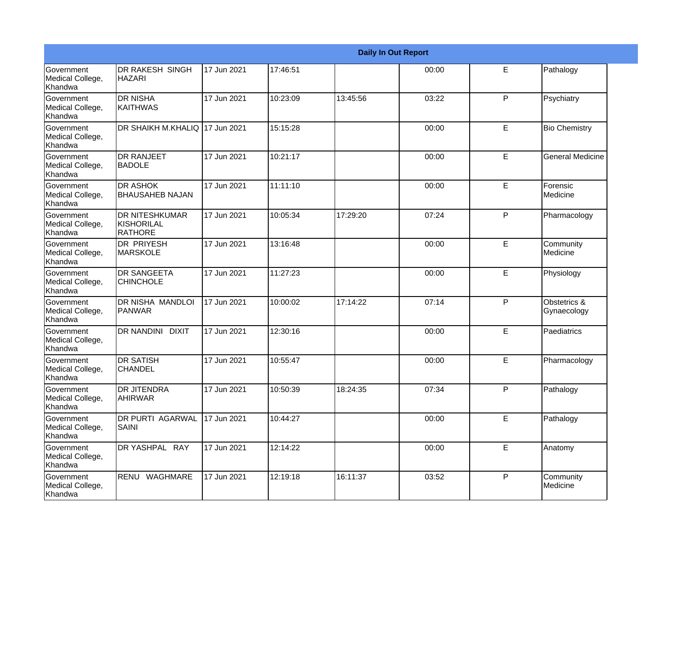|                                                  |                                                       | <b>Daily In Out Report</b> |          |          |       |             |                             |  |  |
|--------------------------------------------------|-------------------------------------------------------|----------------------------|----------|----------|-------|-------------|-----------------------------|--|--|
| Government<br>Medical College,<br>Khandwa        | DR RAKESH SINGH<br><b>HAZARI</b>                      | 17 Jun 2021                | 17:46:51 |          | 00:00 | E           | Pathalogy                   |  |  |
| <b>Government</b><br>Medical College,<br>Khandwa | IDR NISHA<br><b>KAITHWAS</b>                          | 17 Jun 2021                | 10:23:09 | 13:45:56 | 03:22 | P           | Psychiatry                  |  |  |
| <b>Government</b><br>Medical College,<br>Khandwa | DR SHAIKH M.KHALIQ 17 Jun 2021                        |                            | 15:15:28 |          | 00:00 | E           | <b>Bio Chemistry</b>        |  |  |
| Government<br>Medical College,<br>Khandwa        | <b>I</b> DR RANJEET<br><b>BADOLE</b>                  | 17 Jun 2021                | 10:21:17 |          | 00:00 | E           | <b>General Medicine</b>     |  |  |
| Government<br>Medical College,<br>Khandwa        | <b>DR ASHOK</b><br><b>BHAUSAHEB NAJAN</b>             | 17 Jun 2021                | 11:11:10 |          | 00:00 | E           | Forensic<br>Medicine        |  |  |
| <b>Government</b><br>Medical College,<br>Khandwa | <b>DR NITESHKUMAR</b><br>KISHORILAL<br><b>RATHORE</b> | 17 Jun 2021                | 10:05:34 | 17:29:20 | 07:24 | P           | Pharmacology                |  |  |
| Government<br>Medical College,<br><b>Khandwa</b> | IDR PRIYESH<br><b>MARSKOLE</b>                        | 17 Jun 2021                | 13:16:48 |          | 00:00 | E           | Community<br>Medicine       |  |  |
| Government<br>Medical College,<br>Khandwa        | <b>DR SANGEETA</b><br><b>CHINCHOLE</b>                | 17 Jun 2021                | 11:27:23 |          | 00:00 | E           | Physiology                  |  |  |
| Government<br>Medical College,<br>Khandwa        | DR NISHA MANDLOI<br>PANWAR                            | 17 Jun 2021                | 10:00:02 | 17:14:22 | 07:14 | P           | Obstetrics &<br>Gynaecology |  |  |
| <b>Government</b><br>Medical College,<br>Khandwa | DR NANDINI DIXIT                                      | 17 Jun 2021                | 12:30:16 |          | 00:00 | E           | Paediatrics                 |  |  |
| <b>Government</b><br>Medical College,<br>Khandwa | <b>DR SATISH</b><br>ICHANDEL                          | 17 Jun 2021                | 10:55:47 |          | 00:00 | E           | Pharmacology                |  |  |
| Government<br>Medical College,<br>Khandwa        | <b>DR JITENDRA</b><br><b>AHIRWAR</b>                  | 17 Jun 2021                | 10:50:39 | 18:24:35 | 07:34 | P           | Pathalogy                   |  |  |
| Government<br>Medical College,<br>Khandwa        | <b>DR PURTI AGARWAL</b><br><b>SAINI</b>               | 17 Jun 2021                | 10:44:27 |          | 00:00 | E           | Pathalogy                   |  |  |
| Government<br>Medical College,<br>Khandwa        | DR YASHPAL RAY                                        | 17 Jun 2021                | 12:14:22 |          | 00:00 | $\mathsf E$ | Anatomy                     |  |  |
| Government<br>Medical College,<br>Khandwa        | RENU WAGHMARE                                         | 17 Jun 2021                | 12:19:18 | 16:11:37 | 03:52 | P           | Community<br>Medicine       |  |  |